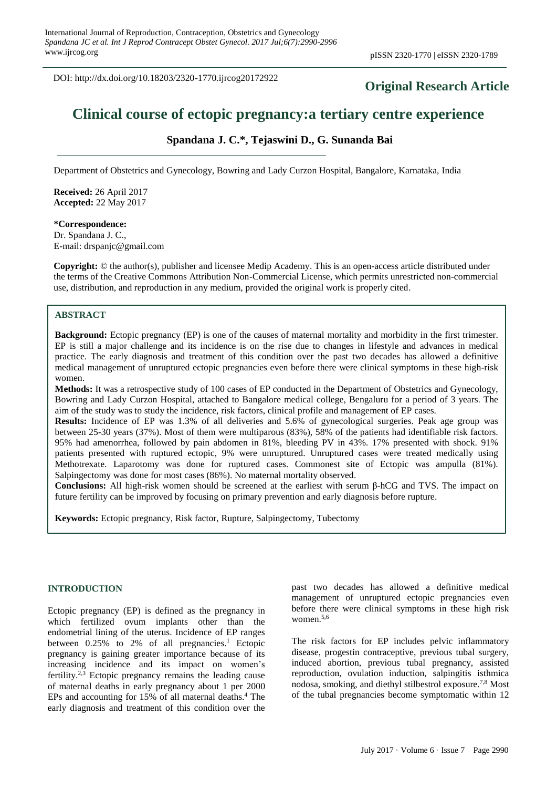DOI: http://dx.doi.org/10.18203/2320-1770.ijrcog20172922

## **Original Research Article**

# **Clinical course of ectopic pregnancy:a tertiary centre experience**

## **Spandana J. C.\*, Tejaswini D., G. Sunanda Bai**

Department of Obstetrics and Gynecology, Bowring and Lady Curzon Hospital, Bangalore, Karnataka, India

**Received:** 26 April 2017 **Accepted:** 22 May 2017

**\*Correspondence:** Dr. Spandana J. C., E-mail: drspanjc@gmail.com

**Copyright:** © the author(s), publisher and licensee Medip Academy. This is an open-access article distributed under the terms of the Creative Commons Attribution Non-Commercial License, which permits unrestricted non-commercial use, distribution, and reproduction in any medium, provided the original work is properly cited.

## **ABSTRACT**

**Background:** Ectopic pregnancy (EP) is one of the causes of maternal mortality and morbidity in the first trimester. EP is still a major challenge and its incidence is on the rise due to changes in lifestyle and advances in medical practice. The early diagnosis and treatment of this condition over the past two decades has allowed a definitive medical management of unruptured ectopic pregnancies even before there were clinical symptoms in these high-risk women.

**Methods:** It was a retrospective study of 100 cases of EP conducted in the Department of Obstetrics and Gynecology, Bowring and Lady Curzon Hospital, attached to Bangalore medical college, Bengaluru for a period of 3 years. The aim of the study was to study the incidence, risk factors, clinical profile and management of EP cases.

**Results:** Incidence of EP was 1.3% of all deliveries and 5.6% of gynecological surgeries. Peak age group was between 25-30 years (37%). Most of them were multiparous (83%), 58% of the patients had identifiable risk factors. 95% had amenorrhea, followed by pain abdomen in 81%, bleeding PV in 43%. 17% presented with shock. 91% patients presented with ruptured ectopic, 9% were unruptured. Unruptured cases were treated medically using Methotrexate. Laparotomy was done for ruptured cases. Commonest site of Ectopic was ampulla (81%). Salpingectomy was done for most cases (86%). No maternal mortality observed.

**Conclusions:** All high-risk women should be screened at the earliest with serum β-hCG and TVS. The impact on future fertility can be improved by focusing on primary prevention and early diagnosis before rupture.

**Keywords:** Ectopic pregnancy, Risk factor, Rupture, Salpingectomy, Tubectomy

#### **INTRODUCTION**

Ectopic pregnancy (EP) is defined as the pregnancy in which fertilized ovum implants other than the endometrial lining of the uterus. Incidence of EP ranges between 0.25% to 2% of all pregnancies.<sup>1</sup> Ectopic pregnancy is gaining greater importance because of its increasing incidence and its impact on women's fertility.<sup>2,3</sup> Ectopic pregnancy remains the leading cause of maternal deaths in early pregnancy about 1 per 2000 EPs and accounting for 15% of all maternal deaths. <sup>4</sup> The early diagnosis and treatment of this condition over the

past two decades has allowed a definitive medical management of unruptured ectopic pregnancies even before there were clinical symptoms in these high risk women. 5,6

The risk factors for EP includes pelvic inflammatory disease, progestin contraceptive, previous tubal surgery, induced abortion, previous tubal pregnancy, assisted reproduction, ovulation induction, salpingitis isthmica nodosa, smoking, and diethyl stilbestrol exposure. 7,8 Most of the tubal pregnancies become symptomatic within 12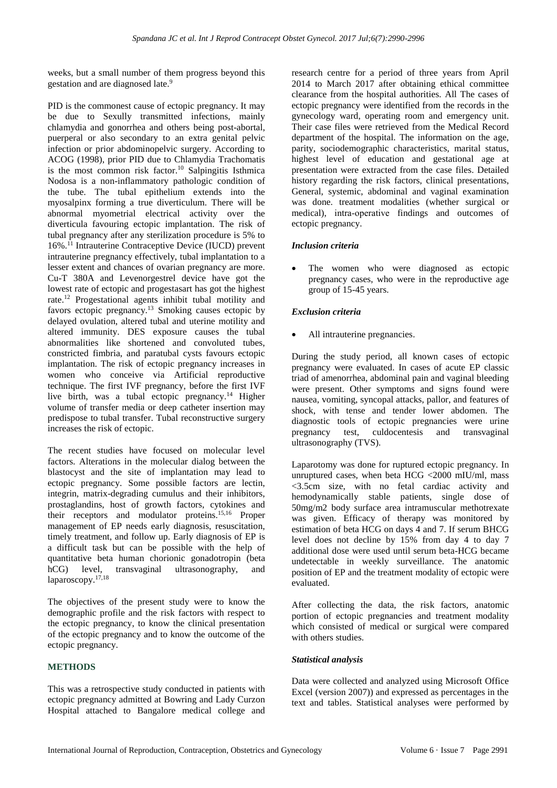weeks, but a small number of them progress beyond this gestation and are diagnosed late. 9

PID is the commonest cause of ectopic pregnancy. It may be due to Sexully transmitted infections, mainly chlamydia and gonorrhea and others being post-abortal, puerperal or also secondary to an extra genital pelvic infection or prior abdominopelvic surgery. According to ACOG (1998), prior PID due to Chlamydia Trachomatis is the most common risk factor. <sup>10</sup> Salpingitis Isthmica Nodosa is a non-inflammatory pathologic condition of the tube. The tubal epithelium extends into the myosalpinx forming a true diverticulum. There will be abnormal myometrial electrical activity over the diverticula favouring ectopic implantation. The risk of tubal pregnancy after any sterilization procedure is 5% to 16%. <sup>11</sup> Intrauterine Contraceptive Device (IUCD) prevent intrauterine pregnancy effectively, tubal implantation to a lesser extent and chances of ovarian pregnancy are more. Cu-T 380A and Levenorgestrel device have got the lowest rate of ectopic and progestasart has got the highest rate.<sup>12</sup> Progestational agents inhibit tubal motility and favors ectopic pregnancy. <sup>13</sup> Smoking causes ectopic by delayed ovulation, altered tubal and uterine motility and altered immunity. DES exposure causes the tubal abnormalities like shortened and convoluted tubes, constricted fimbria, and paratubal cysts favours ectopic implantation. The risk of ectopic pregnancy increases in women who conceive via Artificial reproductive technique. The first IVF pregnancy, before the first IVF live birth, was a tubal ectopic pregnancy.<sup>14</sup> Higher volume of transfer media or deep catheter insertion may predispose to tubal transfer. Tubal reconstructive surgery increases the risk of ectopic.

The recent studies have focused on molecular level factors. Alterations in the molecular dialog between the blastocyst and the site of implantation may lead to ectopic pregnancy. Some possible factors are lectin, integrin, matrix-degrading cumulus and their inhibitors, prostaglandins, host of growth factors, cytokines and their receptors and modulator proteins. 15,16 Proper management of EP needs early diagnosis, resuscitation, timely treatment, and follow up. Early diagnosis of EP is a difficult task but can be possible with the help of quantitative beta human chorionic gonadotropin (beta hCG) level, transvaginal ultrasonography, and laparoscopy. 17,18

The objectives of the present study were to know the demographic profile and the risk factors with respect to the ectopic pregnancy, to know the clinical presentation of the ectopic pregnancy and to know the outcome of the ectopic pregnancy.

## **METHODS**

This was a retrospective study conducted in patients with ectopic pregnancy admitted at Bowring and Lady Curzon Hospital attached to Bangalore medical college and research centre for a period of three years from April 2014 to March 2017 after obtaining ethical committee clearance from the hospital authorities. All The cases of ectopic pregnancy were identified from the records in the gynecology ward, operating room and emergency unit. Their case files were retrieved from the Medical Record department of the hospital. The information on the age, parity, sociodemographic characteristics, marital status, highest level of education and gestational age at presentation were extracted from the case files. Detailed history regarding the risk factors, clinical presentations, General, systemic, abdominal and vaginal examination was done. treatment modalities (whether surgical or medical), intra-operative findings and outcomes of ectopic pregnancy.

#### *Inclusion criteria*

The women who were diagnosed as ectopic pregnancy cases, who were in the reproductive age group of 15-45 years.

#### *Exclusion criteria*

All intrauterine pregnancies.

During the study period, all known cases of ectopic pregnancy were evaluated. In cases of acute EP classic triad of amenorrhea, abdominal pain and vaginal bleeding were present. Other symptoms and signs found were nausea, vomiting, syncopal attacks, pallor, and features of shock, with tense and tender lower abdomen. The diagnostic tools of ectopic pregnancies were urine pregnancy test, culdocentesis and transvaginal ultrasonography (TVS).

Laparotomy was done for ruptured ectopic pregnancy. In unruptured cases, when beta HCG <2000 mIU/ml, mass <3.5cm size, with no fetal cardiac activity and hemodynamically stable patients, single dose of 50mg/m2 body surface area intramuscular methotrexate was given. Efficacy of therapy was monitored by estimation of beta HCG on days 4 and 7. If serum BHCG level does not decline by 15% from day 4 to day 7 additional dose were used until serum beta-HCG became undetectable in weekly surveillance. The anatomic position of EP and the treatment modality of ectopic were evaluated.

After collecting the data, the risk factors, anatomic portion of ectopic pregnancies and treatment modality which consisted of medical or surgical were compared with others studies.

## *Statistical analysis*

Data were collected and analyzed using Microsoft Office Excel (version 2007)) and expressed as percentages in the text and tables. Statistical analyses were performed by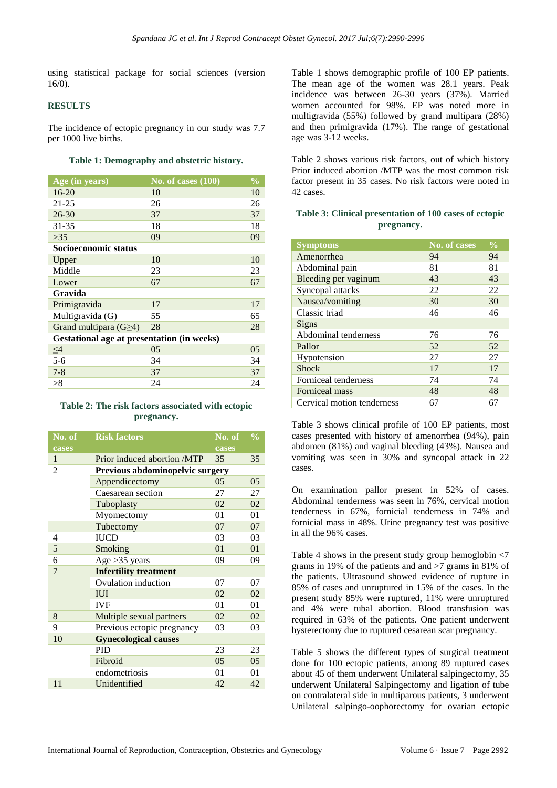using statistical package for social sciences (version 16/0).

## **RESULTS**

The incidence of ectopic pregnancy in our study was 7.7 per 1000 live births.

#### **Table 1: Demography and obstetric history.**

| Age (in years)                                    | No. of cases $(100)$ | $\frac{1}{2}$ |  |
|---------------------------------------------------|----------------------|---------------|--|
| $16 - 20$                                         | 10                   | 10            |  |
| $21 - 25$                                         | 26                   | 26            |  |
| $26 - 30$                                         | 37                   | 37            |  |
| $31 - 35$                                         | 18                   | 18            |  |
| >35                                               | 09                   | 09            |  |
| Socioeconomic status                              |                      |               |  |
| Upper                                             | 10                   | 10            |  |
| Middle                                            | 23                   | 23            |  |
| Lower                                             | 67                   | 67            |  |
| Gravida                                           |                      |               |  |
| Primigravida                                      | 17                   | 17            |  |
| Multigravida (G)                                  | 55                   | 65            |  |
| Grand multipara $(G \geq 4)$                      | 28                   | 28            |  |
| <b>Gestational age at presentation (in weeks)</b> |                      |               |  |
| $\leq$ 4                                          | 05                   | 05            |  |
| $5 - 6$                                           | 34                   | 34            |  |
| $7 - 8$                                           | 37                   | 37            |  |
| >8                                                | 24                   | 24            |  |

## **Table 2: The risk factors associated with ectopic pregnancy.**

| No. of         | <b>Risk factors</b>             | No. of | $\frac{1}{2}$ |
|----------------|---------------------------------|--------|---------------|
| cases          |                                 | cases  |               |
| 1              | Prior induced abortion /MTP     | 35     | 35            |
| $\overline{c}$ | Previous abdominopelvic surgery |        |               |
|                | Appendicectomy                  | 05     | 05            |
|                | Caesarean section               | 27     | 27            |
|                | Tuboplasty                      | 02     | 02            |
|                | Myomectomy                      | 01     | 01            |
|                | Tubectomy                       | 07     | 07            |
| 4              | <b>IUCD</b>                     | 03     | 03            |
| 5              | Smoking                         | 01     | 01            |
| 6              | Age $>35$ years                 | 09     | 09            |
| $\overline{7}$ | <b>Infertility treatment</b>    |        |               |
|                | Ovulation induction             | 07     | 07            |
|                | <b>IUI</b>                      | 02     | 02            |
|                | <b>IVF</b>                      | 01     | 01            |
| 8              | Multiple sexual partners        | 02     | 02            |
| 9              | Previous ectopic pregnancy      | 03     | 03            |
| 10             | <b>Gynecological causes</b>     |        |               |
|                | <b>PID</b>                      | 23     | 23            |
|                | Fibroid                         | 05     | 05            |
|                | endometriosis                   | 01     | 01            |
| 11             | Unidentified                    | 42     | 42            |

Table 1 shows demographic profile of 100 EP patients. The mean age of the women was 28.1 years. Peak incidence was between 26-30 years (37%). Married women accounted for 98%. EP was noted more in multigravida (55%) followed by grand multipara (28%) and then primigravida (17%). The range of gestational age was 3-12 weeks.

Table 2 shows various risk factors, out of which history Prior induced abortion /MTP was the most common risk factor present in 35 cases. No risk factors were noted in 42 cases.

## **Table 3: Clinical presentation of 100 cases of ectopic pregnancy.**

| <b>Symptoms</b>            | <b>No. of cases</b> | $\frac{0}{0}$ |
|----------------------------|---------------------|---------------|
| Amenorrhea                 | 94                  | 94            |
| Abdominal pain             | 81                  | 81            |
| Bleeding per vaginum       | 43                  | 43            |
| Syncopal attacks           | 22                  | 22            |
| Nausea/vomiting            | 30                  | 30            |
| Classic triad              | 46                  | 46            |
| Signs                      |                     |               |
| Abdominal tenderness       | 76                  | 76            |
| Pallor                     | 52                  | 52            |
| Hypotension                | 27                  | 27            |
| <b>Shock</b>               | 17                  | 17            |
| Forniceal tenderness       | 74                  | 74            |
| Forniceal mass             | 48                  | 48            |
| Cervical motion tenderness | 67                  | 67            |

Table 3 shows clinical profile of 100 EP patients, most cases presented with history of amenorrhea (94%), pain abdomen (81%) and vaginal bleeding (43%). Nausea and vomiting was seen in 30% and syncopal attack in 22 cases.

On examination pallor present in 52% of cases. Abdominal tenderness was seen in 76%, cervical motion tenderness in 67%, fornicial tenderness in 74% and fornicial mass in 48%. Urine pregnancy test was positive in all the 96% cases.

Table 4 shows in the present study group hemoglobin <7 grams in 19% of the patients and and >7 grams in 81% of the patients. Ultrasound showed evidence of rupture in 85% of cases and unruptured in 15% of the cases. In the present study 85% were ruptured, 11% were unruptured and 4% were tubal abortion. Blood transfusion was required in 63% of the patients. One patient underwent hysterectomy due to ruptured cesarean scar pregnancy.

Table 5 shows the different types of surgical treatment done for 100 ectopic patients, among 89 ruptured cases about 45 of them underwent Unilateral salpingectomy, 35 underwent Unilateral Salpingectomy and ligation of tube on contralateral side in multiparous patients, 3 underwent Unilateral salpingo-oophorectomy for ovarian ectopic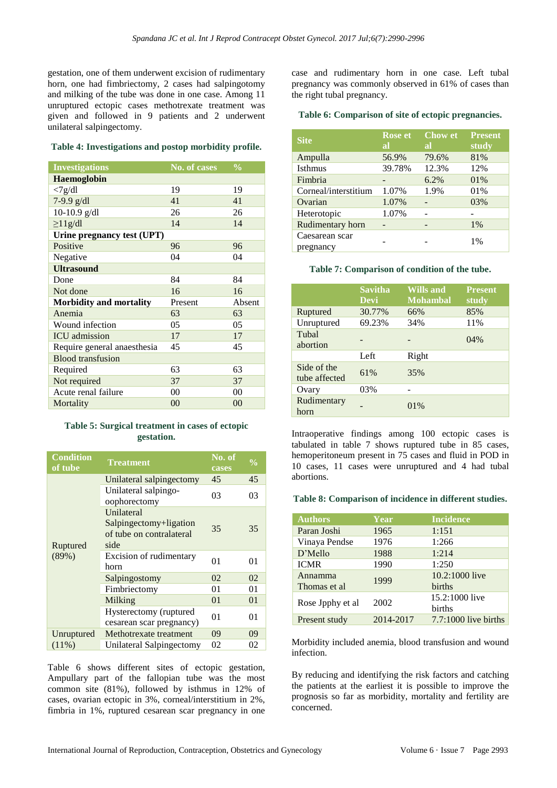gestation, one of them underwent excision of rudimentary horn, one had fimbriectomy, 2 cases had salpingotomy and milking of the tube was done in one case. Among 11 unruptured ectopic cases methotrexate treatment was given and followed in 9 patients and 2 underwent unilateral salpingectomy.

#### **Table 4: Investigations and postop morbidity profile.**

| <b>Investigations</b>          | No. of cases | $\frac{0}{0}$ |
|--------------------------------|--------------|---------------|
| <b>Haemoglobin</b>             |              |               |
| <7g/dl                         | 19           | 19            |
| 7-9.9 g/dl                     | 41           | 41            |
| 10-10.9 $g/dl$                 | 26           | 26            |
| $\geq$ 11g/dl                  | 14           | 14            |
| Urine pregnancy test (UPT)     |              |               |
| Positive                       | 96           | 96            |
| Negative                       | 04           | 04            |
| <b>Ultrasound</b>              |              |               |
| Done                           | 84           | 84            |
| Not done                       | 16           | 16            |
| <b>Morbidity and mortality</b> | Present      | Absent        |
| Anemia                         | 63           | 63            |
| Wound infection                | 05           | 05            |
| <b>ICU</b> admission           | 17           | 17            |
| Require general anaesthesia    | 45           | 45            |
| <b>Blood transfusion</b>       |              |               |
| Required                       | 63           | 63            |
| Not required                   | 37           | 37            |
| Acute renal failure            | 00           | 00            |
| Mortality                      | 00           | 00            |

## **Table 5: Surgical treatment in cases of ectopic gestation.**

| <b>Condition</b><br>of tube | <b>Treatment</b>                                                         | No. of<br>cases | $\frac{0}{0}$ |
|-----------------------------|--------------------------------------------------------------------------|-----------------|---------------|
|                             | Unilateral salping ectomy                                                | 45              | 45            |
|                             | Unilateral salpingo-<br>oophorectomy                                     | 03              | 03            |
| Ruptured                    | Unilateral<br>Salpingectomy+ligation<br>of tube on contralateral<br>side | 35              | 35            |
| (89%)                       | Excision of rudimentary<br>horn                                          | 01              | 01            |
|                             | Salpingostomy                                                            | 02              | 02            |
|                             | Fimbriectomy                                                             | 01              | 01            |
|                             | Milking                                                                  | 01              | 01            |
|                             | Hysterectomy (ruptured<br>cesarean scar pregnancy)                       | 01              | 01            |
| Unruptured                  | Methotrexate treatment                                                   | 09              | 09            |
| $(11\%)$                    | Unilateral Salpingectomy                                                 | 02              | 02            |

Table 6 shows different sites of ectopic gestation, Ampullary part of the fallopian tube was the most common site (81%), followed by isthmus in 12% of cases, ovarian ectopic in 3%, corneal/interstitium in 2%, fimbria in 1%, ruptured cesarean scar pregnancy in one case and rudimentary horn in one case. Left tubal pregnancy was commonly observed in 61% of cases than the right tubal pregnancy.

#### **Table 6: Comparison of site of ectopic pregnancies.**

| <b>Site</b>                 | <b>Rose</b> et<br>al | <b>Chow et</b><br>al | <b>Present</b><br>study |
|-----------------------------|----------------------|----------------------|-------------------------|
| Ampulla                     | 56.9%                | 79.6%                | 81%                     |
| <b>Isthmus</b>              | 39.78%               | 12.3%                | 12%                     |
| Fimbria                     |                      | 6.2%                 | 01%                     |
| Corneal/interstitium        | 1.07%                | 1.9%                 | 01%                     |
| Ovarian                     | 1.07%                |                      | 03%                     |
| Heterotopic                 | 1.07%                |                      |                         |
| Rudimentary horn            |                      |                      | 1%                      |
| Caesarean scar<br>pregnancy |                      |                      | 1%                      |

#### **Table 7: Comparison of condition of the tube.**

|                              | <b>Savitha</b><br><b>Devi</b> | <b>Wills and</b><br><b>Mohambal</b> | <b>Present</b><br>study |
|------------------------------|-------------------------------|-------------------------------------|-------------------------|
| Ruptured                     | 30.77%                        | 66%                                 | 85%                     |
| Unruptured                   | 69.23%                        | 34%                                 | 11%                     |
| Tubal<br>abortion            |                               |                                     | 04%                     |
|                              | Left                          | Right                               |                         |
| Side of the<br>tube affected | 61%                           | 35%                                 |                         |
| Ovary                        | 03%                           |                                     |                         |
| Rudimentary<br>horn          |                               | 01%                                 |                         |

Intraoperative findings among 100 ectopic cases is tabulated in table 7 shows ruptured tube in 85 cases, hemoperitoneum present in 75 cases and fluid in POD in 10 cases, 11 cases were unruptured and 4 had tubal abortions.

#### **Table 8: Comparison of incidence in different studies.**

| <b>Authors</b>   | Year      | <b>Incidence</b>     |
|------------------|-----------|----------------------|
| Paran Joshi      | 1965      | 1:151                |
| Vinaya Pendse    | 1976      | 1:266                |
| D'Mello          | 1988      | 1:214                |
| <b>ICMR</b>      | 1990      | 1:250                |
| Annamma          | 1999      | 10.2:1000 live       |
| Thomas et al     |           | births               |
| 2002             |           | 15.2:1000 live       |
| Rose Jpphy et al |           | births               |
| Present study    | 2014-2017 | 7.7:1000 live births |

Morbidity included anemia, blood transfusion and wound infection.

By reducing and identifying the risk factors and catching the patients at the earliest it is possible to improve the prognosis so far as morbidity, mortality and fertility are concerned.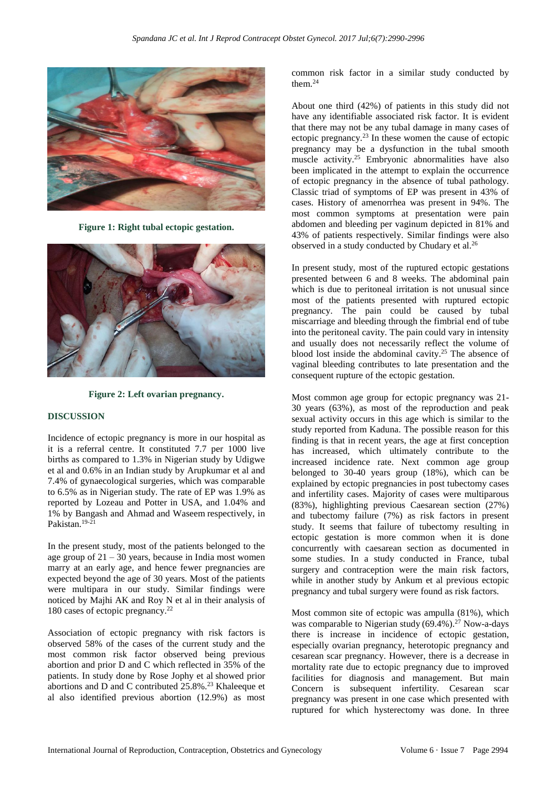

**Figure 1: Right tubal ectopic gestation.**



**Figure 2: Left ovarian pregnancy.**

#### **DISCUSSION**

Incidence of ectopic pregnancy is more in our hospital as it is a referral centre. It constituted 7.7 per 1000 live births as compared to 1.3% in Nigerian study by Udigwe et al and 0.6% in an Indian study by Arupkumar et al and 7.4% of gynaecological surgeries, which was comparable to 6.5% as in Nigerian study. The rate of EP was 1.9% as reported by Lozeau and Potter in USA, and 1.04% and 1% by Bangash and Ahmad and Waseem respectively, in Pakistan.<sup>19-21</sup>

In the present study, most of the patients belonged to the age group of  $21 - 30$  years, because in India most women marry at an early age, and hence fewer pregnancies are expected beyond the age of 30 years. Most of the patients were multipara in our study. Similar findings were noticed by Majhi AK and Roy N et al in their analysis of 180 cases of ectopic pregnancy. 22

Association of ectopic pregnancy with risk factors is observed 58% of the cases of the current study and the most common risk factor observed being previous abortion and prior D and C which reflected in 35% of the patients. In study done by Rose Jophy et al showed prior abortions and D and C contributed  $25.8\%$ .<sup>23</sup> Khaleeque et al also identified previous abortion (12.9%) as most common risk factor in a similar study conducted by them.<sup>24</sup>

About one third (42%) of patients in this study did not have any identifiable associated risk factor. It is evident that there may not be any tubal damage in many cases of ectopic pregnancy. <sup>23</sup> In these women the cause of ectopic pregnancy may be a dysfunction in the tubal smooth muscle activity. <sup>25</sup> Embryonic abnormalities have also been implicated in the attempt to explain the occurrence of ectopic pregnancy in the absence of tubal pathology. Classic triad of symptoms of EP was present in 43% of cases. History of amenorrhea was present in 94%. The most common symptoms at presentation were pain abdomen and bleeding per vaginum depicted in 81% and 43% of patients respectively. Similar findings were also observed in a study conducted by Chudary et al.<sup>26</sup>

In present study, most of the ruptured ectopic gestations presented between 6 and 8 weeks. The abdominal pain which is due to peritoneal irritation is not unusual since most of the patients presented with ruptured ectopic pregnancy. The pain could be caused by tubal miscarriage and bleeding through the fimbrial end of tube into the peritoneal cavity. The pain could vary in intensity and usually does not necessarily reflect the volume of blood lost inside the abdominal cavity. <sup>25</sup> The absence of vaginal bleeding contributes to late presentation and the consequent rupture of the ectopic gestation.

Most common age group for ectopic pregnancy was 21- 30 years (63%), as most of the reproduction and peak sexual activity occurs in this age which is similar to the study reported from Kaduna. The possible reason for this finding is that in recent years, the age at first conception has increased, which ultimately contribute to the increased incidence rate. Next common age group belonged to 30-40 years group (18%), which can be explained by ectopic pregnancies in post tubectomy cases and infertility cases. Majority of cases were multiparous (83%), highlighting previous Caesarean section (27%) and tubectomy failure (7%) as risk factors in present study. It seems that failure of tubectomy resulting in ectopic gestation is more common when it is done concurrently with caesarean section as documented in some studies. In a study conducted in France, tubal surgery and contraception were the main risk factors, while in another study by Ankum et al previous ectopic pregnancy and tubal surgery were found as risk factors.

Most common site of ectopic was ampulla (81%), which was comparable to Nigerian study  $(69.4\%)$ .<sup>27</sup> Now-a-days there is increase in incidence of ectopic gestation, especially ovarian pregnancy, heterotopic pregnancy and cesarean scar pregnancy. However, there is a decrease in mortality rate due to ectopic pregnancy due to improved facilities for diagnosis and management. But main Concern is subsequent infertility. Cesarean scar pregnancy was present in one case which presented with ruptured for which hysterectomy was done. In three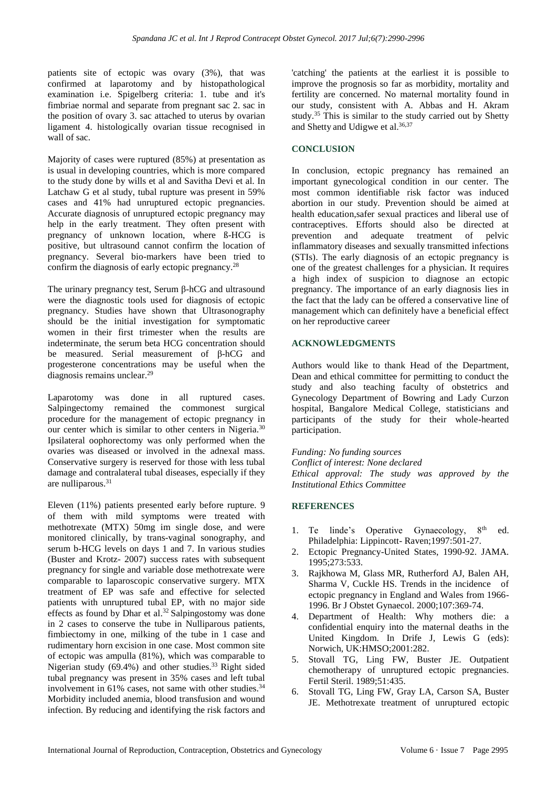patients site of ectopic was ovary (3%), that was confirmed at laparotomy and by histopathological examination i.e. Spigelberg criteria: 1. tube and it's fimbriae normal and separate from pregnant sac 2. sac in the position of ovary 3. sac attached to uterus by ovarian ligament 4. histologically ovarian tissue recognised in wall of sac.

Majority of cases were ruptured (85%) at presentation as is usual in developing countries, which is more compared to the study done by wills et al and Savitha Devi et al. In Latchaw G et al study, tubal rupture was present in 59% cases and 41% had unruptured ectopic pregnancies. Accurate diagnosis of unruptured ectopic pregnancy may help in the early treatment. They often present with pregnancy of unknown location, where ß-HCG is positive, but ultrasound cannot confirm the location of pregnancy. Several bio-markers have been tried to confirm the diagnosis of early ectopic pregnancy.<sup>28</sup>

The urinary pregnancy test, Serum β-hCG and ultrasound were the diagnostic tools used for diagnosis of ectopic pregnancy. Studies have shown that Ultrasonography should be the initial investigation for symptomatic women in their first trimester when the results are indeterminate, the serum beta HCG concentration should be measured. Serial measurement of β-hCG and progesterone concentrations may be useful when the diagnosis remains unclear. 29

Laparotomy was done in all ruptured cases. Salpingectomy remained the commonest surgical procedure for the management of ectopic pregnancy in our center which is similar to other centers in Nigeria.<sup>30</sup> Ipsilateral oophorectomy was only performed when the ovaries was diseased or involved in the adnexal mass. Conservative surgery is reserved for those with less tubal damage and contralateral tubal diseases, especially if they are nulliparous. 31

Eleven (11%) patients presented early before rupture. 9 of them with mild symptoms were treated with methotrexate (MTX) 50mg im single dose, and were monitored clinically, by trans-vaginal sonography, and serum b-HCG levels on days 1 and 7. In various studies (Buster and Krotz- 2007) success rates with subsequent pregnancy for single and variable dose methotrexate were comparable to laparoscopic conservative surgery. MTX treatment of EP was safe and effective for selected patients with unruptured tubal EP, with no major side effects as found by Dhar et al. <sup>32</sup> Salpingostomy was done in 2 cases to conserve the tube in Nulliparous patients, fimbiectomy in one, milking of the tube in 1 case and rudimentary horn excision in one case. Most common site of ectopic was ampulla (81%), which was comparable to Nigerian study (69.4%) and other studies. <sup>33</sup> Right sided tubal pregnancy was present in 35% cases and left tubal involvement in 61% cases, not same with other studies. 34 Morbidity included anemia, blood transfusion and wound infection. By reducing and identifying the risk factors and 'catching' the patients at the earliest it is possible to improve the prognosis so far as morbidity, mortality and fertility are concerned. No maternal mortality found in our study, consistent with A. Abbas and H. Akram study.<sup>35</sup> This is similar to the study carried out by Shetty and Shetty and Udigwe et al. 36,37

## **CONCLUSION**

In conclusion, ectopic pregnancy has remained an important gynecological condition in our center. The most common identifiable risk factor was induced abortion in our study. Prevention should be aimed at health education,safer sexual practices and liberal use of contraceptives. Efforts should also be directed at prevention and adequate treatment of pelvic inflammatory diseases and sexually transmitted infections (STIs). The early diagnosis of an ectopic pregnancy is one of the greatest challenges for a physician. It requires a high index of suspicion to diagnose an ectopic pregnancy. The importance of an early diagnosis lies in the fact that the lady can be offered a conservative line of management which can definitely have a beneficial effect on her reproductive career

## **ACKNOWLEDGMENTS**

Authors would like to thank Head of the Department, Dean and ethical committee for permitting to conduct the study and also teaching faculty of obstetrics and Gynecology Department of Bowring and Lady Curzon hospital, Bangalore Medical College, statisticians and participants of the study for their whole-hearted participation.

*Funding: No funding sources Conflict of interest: None declared Ethical approval: The study was approved by the Institutional Ethics Committee*

## **REFERENCES**

- 1. Te linde's Operative Gynaecology, 8<sup>th</sup> ed. Philadelphia: Lippincott- Raven;1997:501-27.
- 2. Ectopic Pregnancy-United States, 1990-92. JAMA. 1995;273:533.
- 3. Rajkhowa M, Glass MR, Rutherford AJ, Balen AH, Sharma V, Cuckle HS. Trends in the incidence of ectopic pregnancy in England and Wales from 1966- 1996. Br J Obstet Gynaecol. 2000;107:369-74.
- 4. Department of Health: Why mothers die: a confidential enquiry into the maternal deaths in the United Kingdom. In Drife J, Lewis G (eds): Norwich, UK:HMSO;2001:282.
- 5. Stovall TG, Ling FW, Buster JE. Outpatient chemotherapy of unruptured ectopic pregnancies. Fertil Steril. 1989;51:435.
- 6. Stovall TG, Ling FW, Gray LA, Carson SA, Buster JE. Methotrexate treatment of unruptured ectopic